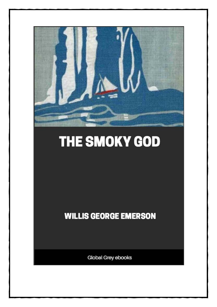

# THE SMOKY GOD

**WILLIS GEORGE EMERSON** 

Global Grey ebooks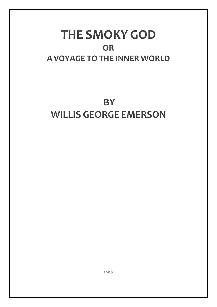## **THE SMOKY GOD OR A VOYAGE TOTHE INNER WORLD**

# **BY WILLIS GEORGE EMERSON**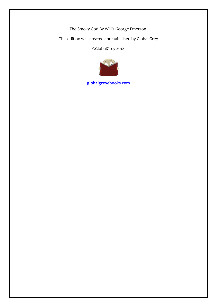The Smoky God By Willis George Emerson.

This edition was created and published by Global Grey

©GlobalGrey 2018



**[globalgreyebooks.com](https://www.globalgreyebooks.com/)**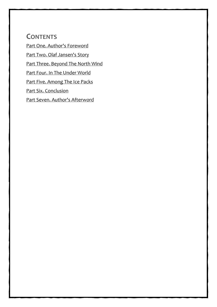#### **CONTENTS**

[Part One. Author's Foreword](#page-4-0)

[Part Two. Olaf Jansen's Story](#page-15-0)

[Part Three. Beyond The North Wind](#page-24-0)

[Part Four. In The Under World](#page-36-0)

[Part Five. Among The Ice Packs](#page-44-0)

[Part Six. Conclusion](#page-49-0)

[Part Seven. Author's Afterword](#page-53-0)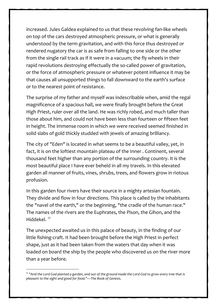increased. Jules Galdea explained to us that these revolving fan-like wheels on top of the cars destroyed atmospheric pressure, or what is generally understood by the term gravitation, and with this force thus destroyed or rendered nugatory the car is as safe from falling to one side or the other from the single rail track as if it were in a vacuum; the fly wheels in their rapid revolutions destroying effectually the so-called power of gravitation, or the force of atmospheric pressure or whatever potent influence it may be that causes all unsupported things to fall downward to the earth's surface or to the nearest point of resistance.

The surprise of my father and myself was indescribable when, amid the regal magnificence of a spacious hall, we were finally brought before the Great High Priest, ruler over all the land. He was richly robed, and much taller than those about him, and could not have been less than fourteen or fifteen feet in height. The immense room in which we were received seemed finished in solid slabs of gold thickly studded with jewels of amazing brilliancy.

The city of "Eden" is located in what seems to be a beautiful valley, yet, in fact, it is on the loftiest mountain plateau of the Inner . Continent, several thousand feet higher than any portion of the surrounding country. It is the most beautiful place I have ever beheld in all my travels. In this elevated garden all manner of fruits, vines, shrubs, trees, and flowers grow in riotous profusion.

In this garden four rivers have their source in a mighty artesian fountain. They divide and flow in four directions. This place is called by the inhabitants the "navel of the earth," or the beginning, "the cradle of the human race." The names of the rivers are the Euphrates, the Pison, the Gihon, and the Hiddekel.<sup>[17](#page-34-0)</sup>

The unexpected awaited us in this palace of beauty, in the finding of our little fishing-craft. It had been brought before the High Priest in perfect shape, just as it had been taken from the waters that day when it was loaded on board the ship by the people who discovered us on the river more than a year before.

<span id="page-34-0"></span><sup>17</sup> *"And the Lord God planted a garden, and out of the ground made the Lord God to grow every tree that is pleasant to the sight and good for food."—The Book of Genesis*.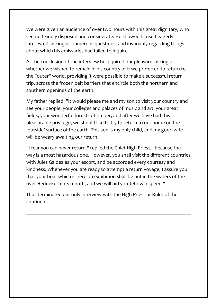We were given an audience of over two hours with this great dignitary, who seemed kindly disposed and considerate. He showed himself eagerly interested, asking us numerous questions, and invariably regarding things about which his emissaries had failed to inquire.

At the conclusion of the interview he inquired our pleasure, asking us whether we wished to remain in his country or if we preferred to return to the "outer" world, providing it were possible to make a successful return trip, across the frozen belt barriers that encircle both the northern and southern openings of the earth.

My father replied: "It would please me and my son to visit your country and see your people, your colleges and palaces of music and art, your great fields, your wonderful forests of timber; and after we have had this pleasurable privilege, we should like to try to return to our home on the `outside' surface of the earth. This son is my only child, and my good wife will be weary awaiting our return."

"I fear you can never return," replied the Chief High Priest, "because the way is a most hazardous one. However, you shall visit the different countries with Jules Galdea as your escort, and be accorded every courtesy and kindness. Whenever you are ready to attempt a return voyage, I assure you that your boat which is here on exhibition shall be put in the waters of the river Heddekel at its mouth, and we will bid you Jehovah-speed."

Thus terminated our only interview with the High Priest or Ruler of the continent.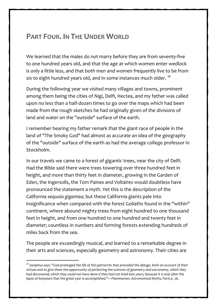### <span id="page-36-0"></span>**PART FOUR. IN THE UNDER WORLD**

We learned that the males do not marry before they are from seventy-five to one hundred years old, and that the age at which women enter wedlock is only a little less, and that both men and women frequently live to be from six to eight hundred years old, and in some instances much older.  $^{18}$  $^{18}$  $^{18}$ 

During the following year we visited many villages and towns, prominent among them being the cities of Nigi, Delfi, Hectea, and my father was called upon no less than a half-dozen times to go over the maps which had been made from the rough sketches he had originally given of the divisions of land and water on the "outside" surface of the earth.

I remember hearing my father remark that the giant race of people in the land of "The Smoky God" had almost as accurate an idea of the geography of the "outside" surface of the earth as had the average college professor in Stockholm.

In our travels we came to a forest of gigantic trees, near the city of Delfi. Had the Bible said there were trees towering over three hundred feet in height, and more than thirty feet in diameter, growing in the Garden of Eden, the Ingersolls, the Tom Paines and Voltaires would doubtless have pronounced the statement a myth. Yet this is the description of the California *sequoia gigantea;* but these California giants pale into insignificance when compared with the forest Goliaths found in the "within" continent, where abound mighty trees from eight hundred to one thousand feet in height, and from one hundred to one hundred and twenty feet in diameter; countless in numbers and forming forests extending hundreds of miles back from the sea.

The people are exceedingly musical, and learned to a remarkable degree in their arts and sciences, especially geometry and astronomy. Their cities are

<span id="page-36-1"></span><sup>&</sup>lt;sup>18</sup> Josephus says: "God prolonged the life of the patriarchs that preceded the deluge, both on account of their *virtues and to give them the opportunity of perfecting the sciences of geometry and astronomy, which they had discovered; which they could not have done if they had not lived* 600 *years, because it is only after the*  lapse of 600years that the great year is accomplished."—Flammarion, Astronomical Myths, Paris p. 26.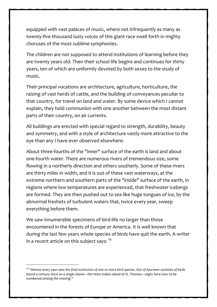equipped with vast palaces of music, where not infrequently as many as twenty-five thousand lusty voices of this giant race swell forth in mighty choruses of the most sublime symphonies.

The children are not supposed to attend institutions of learning before they are twenty years old. Then their school life begins and continues for thirty years, ten of which are uniformly devoted by both sexes to the study of music.

Their principal vocations are architecture, agriculture, horticulture, the raising of vast herds of cattle, and the building of conveyances peculiar to that country, for travel on land and water. By some device which I cannot explain, they hold communion with one another between the most distant parts of their country, on air currents.

All buildings are erected with special regard to strength, durability, beauty and symmetry, and with a style of architecture vastly more attractive to the eye than any I have ever observed elsewhere.

About three-fourths of the "inner" surface of the earth is land and about one-fourth water. There are numerous rivers of tremendous size, some flowing in a northerly direction and others southerly. Some of these rivers are thirty miles in width, and it is out of these vast waterways, at the extreme northern and southern parts of the "inside" surface of the earth, in regions where low temperatures are experienced, that freshwater icebergs are formed. They are then pushed out to sea like huge tongues of ice, by the abnormal freshets of turbulent waters that, twice every year, sweep everything before them.

We saw innumerable specimens of bird-life no larger than those encountered in the forests of Europe or America. It is well known that during the last few years whole species of birds have quit the earth. A writer in a recent article on this subject says:  $19$ 

<span id="page-37-0"></span><sup>19</sup> *"Almost every year sees the final extinction of one or more bird species. Out of fourteen varieties of birds found a century since on a single island—the West Indian island of St. Thomas—eight have now to be numbered among the missing."*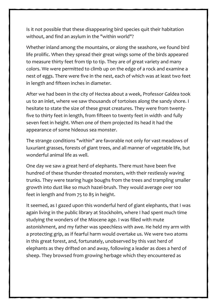Is it not possible that these disappearing bird species quit their habitation without, and find an asylum in the "within world"?

Whether inland among the mountains, or along the seashore, we found bird life prolific. When they spread their great wings some of the birds appeared to measure thirty feet from tip to tip. They are of great variety and many colors. We were permitted to climb up on the edge of a rock and examine a nest of eggs. There were five in the nest, each of which was at least two feet in length and fifteen inches in diameter.

After we had been in the city of Hectea about a week, Professor Galdea took us to an inlet, where we saw thousands of tortoises along the sandy shore. I hesitate to state the size of these great creatures. They were from twentyfive to thirty feet in length, from fifteen to twenty feet in width -and fully seven feet in height. When one of them projected its head it had the appearance of some hideous sea monster.

The strange conditions "within" are favorable not only for vast meadows of luxuriant grasses, forests of giant trees, and all manner of vegetable life, but wonderful animal life as well.

One day we saw a great herd of elephants. There must have been five hundred of these thunder-throated monsters, with their restlessly waving trunks. They were tearing huge boughs from the trees and trampling smaller growth into dust like so much hazel-brush. They would average over 100 feet in length and from 75 to 85 in height.

It seemed, as I gazed upon this wonderful herd of giant elephants, that I was again living in the public library at Stockholm, where I had spent much time studying the wonders of the Miocene age. I was filled with mute astonishment, and my father was speechless with awe. He held my arm with a protecting grip, as if fearful harm would overtake us. We were two atoms in this great forest, and, fortunately, unobserved by this vast herd of elephants as they drifted on and away, following a leader as does a herd of sheep. They browsed from growing herbage which they encountered as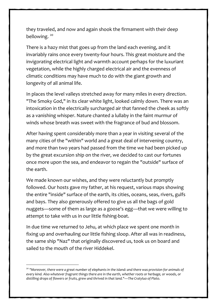they traveled, and now and again shook the firmament with their deep bellowing.<sup>[20](#page-39-0)</sup>

There is a hazy mist that goes up from the land each evening, and it invariably rains once every twenty-four hours. This great moisture and the invigorating electrical light and warmth account perhaps for the luxuriant vegetation, while the highly charged electrical air and the evenness of climatic conditions may have much to do with the giant growth and longevity of all animal life.

In places the level valleys stretched away for many miles in every direction. "The Smoky God," in its clear white light, looked calmly down. There was an intoxication in the electrically surcharged air that fanned the cheek as softly as a vanishing whisper. Nature chanted a lullaby in the faint murmur of winds whose breath was sweet with the fragrance of bud and blossom.

After having spent considerably more than a year in visiting several of the many cities of the "within" world and a great deal of intervening country, and more than two years had passed from the time we had been picked up by the great excursion ship on the river, we decided to cast our fortunes once more upon the sea, and endeavor to regain the "outside" surface of the earth.

We made known our wishes, and they were reluctantly but promptly followed. Our hosts gave my father, at his request, various maps showing the entire "inside" surface of the earth, its cities, oceans, seas, rivers, gulfs and bays. They also generously offered to give us all the bags of gold nuggets—some of them as large as a goose's egg—that we were willing to attempt to take with us in our little fishing-boat.

In due time we returned to Jehu, at which place we spent one month in fixing up and overhauling our little fishing sloop. After all was in readiness, the same ship "Naz" that originally discovered us, took us on board and sailed to the mouth of the river Hiddekel.

<span id="page-39-0"></span><sup>20</sup> "Moreover, there were a great number of elephants in the island: and there was provision for animals of *every kind. Also whatever fragrant things there are in the earth, whether roots or herbage, or woods*, *or distilling drops of flowers or fruits, grew and thrived in that land."—The Cratyluo of Plato*.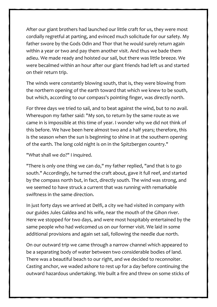After our giant brothers had launched our little craft for us, they were most cordially regretful at parting, and evinced much solicitude for our safety. My father swore by the Gods Odin and Thor that he would surely return again within a year or two and pay them another visit. And thus we bade them adieu. We made ready and hoisted our sail, but there was little breeze. We were becalmed within an hour after our giant friends had left us and started on their return trip.

The winds were constantly blowing south, that is, they were blowing from the northern opening of the earth toward that which we knew to be south, but which, according to our compass's pointing finger, was directly north.

For three days we tried to sail, and to beat against the wind, but to no avail. Whereupon my father said: "My son, to return by the same route as we came in is impossible at this time of year. I wonder why we did not think of this before. We have been here almost two and a half years; therefore, this is the season when the sun is beginning to shine in at the southern opening of the earth. The long cold night is on in the Spitzbergen country."

"What shall we do?" I inquired.

"There is only one thing we can do," my father replied, "and that is to go south." Accordingly, he turned the craft about, gave it full reef, and started by the compass north but, in fact, directly south. The wind was strong, and we seemed to have struck a current that was running with remarkable swiftness in the same direction.

In just forty days we arrived at Delfi, a city we had visited in company with our guides Jules Galdea and his wife, near the mouth of the Gihon river. Here we stopped for two days, and were most hospitably entertained by the same people who had welcomed us on our former visit. We laid in some additional provisions and again set sail, following the needle due north.

On our outward trip we came through a narrow channel which appeared to be a separating body of water between two considerable bodies of land. There was a beautiful beach to our right, and we decided to reconnoiter. Casting anchor, we waded ashore to rest up for a day before continuing the outward hazardous undertaking. We built a fire and threw on some sticks of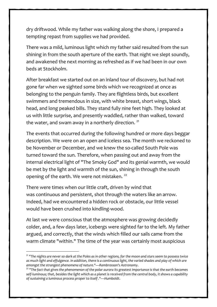dry driftwood. While my father was walking along the shore, I prepared a tempting repast from supplies we had provided.

There was a mild, luminous light which my father said resulted from the sun shining in from the south aperture of the earth. That night we slept soundly, and awakened the next morning as refreshed as if we had been in our own beds at Stockholm.

After breakfast we started out on an inland tour of discovery, but had not gone far when we sighted some birds which we recognized at once as belonging to the penguin family. They are flightless birds, but excellent swimmers and tremendous in size, with white breast, short wings, black head, and long peaked bills. They stand fully nine feet high. They looked at us with little surprise, and presently waddled, rather than walked, toward the water, and swam away in a northerly direction.  $21$ 

The events that occurred during the following hundred or more days beggar description. We were on an open and iceless sea. The month we reckoned to be November or December, and we knew the so-called South Pole was turned toward the sun. Therefore, when passing out and away from the internal electrical light of "The Smoky God" and its genial warmth, we would be met by the light and warmth of the sun, shining in through the south opening of the earth. We were not mistaken.<sup>[22](#page-41-1)</sup>

There were times when our little craft, driven by wind that was continuous and persistent, shot through the waters like an arrow. Indeed, had we encountered a hidden rock or obstacle, our little vessel would have been crushed into kindling-wood.

At last we were conscious that the atmosphere was growing decidedly colder, and, a few days later, icebergs were sighted far to the left. My father argued, and correctly, that the winds which filled our sails came from the warm climate "within." The time of the year was certainly most auspicious

<span id="page-41-0"></span><sup>21</sup> *"The nights are never so dark at the Poles as in other regions, for the moon and stars seem to possess twice as much light and effulgence. In addition, there is a continuous light, the varied shades and play of which are amongst the strangest phenomena of nature."—Rambrosson's Astronomy*. 22 *"The fact that gives the phenomenon of the polar aurora its greatest importance is that the earth becomes* 

<span id="page-41-1"></span>*self-luminous; that, besides the light which as a planet is received from the central body, it shows a capability of sustaining a luminous process proper to itself ."—Humboldt*.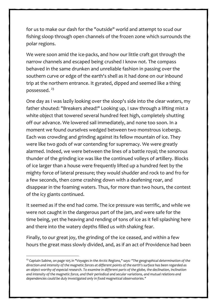for us to make our dash for the "outside" world and attempt to scud our fishing sloop through open channels of the frozen zone which surrounds the polar regions.

We were soon amid the ice-packs, and how our little craft got through the narrow channels and escaped being crushed I know not. The compass behaved in the same drunken and unreliable fashion in passing over the southern curve or edge of the earth's shell as it had done on our inbound trip at the northern entrance. It gyrated, dipped and seemed like a thing possessed. [23](#page-42-0)

One day as I was lazily looking over the sloop's side into the clear waters, my father shouted: "Breakers ahead!" Looking up, I saw through a lifting mist a white object that towered several hundred feet high, completely shutting off our advance. We lowered sail immediately, and none too soon. In a moment we found ourselves wedged between two monstrous icebergs. Each was crowding and grinding against its fellow mountain of ice. They were like two gods of war contending for supremacy. We were greatly alarmed. Indeed, we were between the lines of a battle royal; the sonorous thunder of the grinding ice was like the continued volleys of artillery. Blocks of ice larger than a house were frequently lifted up a hundred feet by the mighty force of lateral pressure; they would shudder and rock to and fro for a few seconds, then come crashing down with a deafening roar, and disappear in the foaming waters. Thus, for more than two hours, the contest of the icy giants continued.

It seemed as if the end had come. The ice pressure was terrific, and while we were not caught in the dangerous part of the jam, and were safe for the time being, yet the heaving and rending of tons of ice as it fell splashing here and there into the watery depths filled us with shaking fear.

Finally, to our great joy, the grinding of the ice ceased, and within a few hours the great mass slowly divided, and, as if an act of Providence had been

<span id="page-42-0"></span><sup>23</sup> *Captain Sabine, on page* 105 *in "Voyages in the Arctic Regions," says: "The geographical determination of the direction and intensity of the magnetic forces at different points of the earth's surface has been regarded as an object worthy of especial research. To examine in different parts of the globe, the declination, inclination and intensity of the magnetic force, and their periodical and secular variations, and mutual relations and dependencies could be duly investigated only in fixed magnetical observatories."*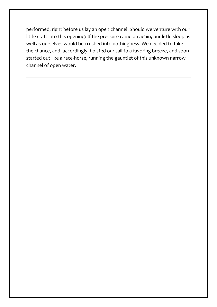performed, right before us lay an open channel. Should we venture with our little craft into this opening? If the pressure came on again, our little sloop as well as ourselves would be crushed into nothingness. We decided to take the chance, and, accordingly, hoisted our sail to a favoring breeze, and soon started out like a race-horse, running the gauntlet of this unknown narrow channel of open water.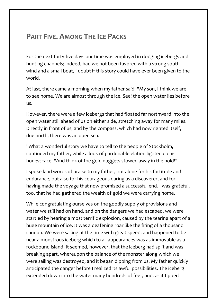### <span id="page-44-0"></span>**PART FIVE. AMONG THE ICE PACKS**

For the next forty-five days our time was employed in dodging icebergs and hunting channels; indeed, had we not been favored with a strong south wind and a small boat, I doubt if this story could have ever been given to the world.

At last, there came a morning when my father said: "My son, I think we are to see home. We are almost through the ice. See! the open water lies before us."

However, there were a few icebergs that had floated far northward into the open water still ahead of us on either side, stretching away for many miles. Directly in front of us, and by the compass, which had now righted itself, due north, there was an open sea.

"What a wonderful story we have to tell to the people of Stockholm," continued my father, while a look of pardonable elation lighted up his honest face. "And think of the gold nuggets stowed away in the hold!"

I spoke kind words of praise to my father, not alone for his fortitude and endurance, but also for his courageous daring as a discoverer, and for having made the voyage that now promised a successful end. I was grateful, too, that he had gathered the wealth of gold we were carrying home.

While congratulating ourselves on the goodly supply of provisions and water we still had on hand, and on the dangers we had escaped, we were startled by hearing a most terrific explosion, caused by the tearing apart of a huge mountain of ice. It was a deafening roar like the firing of a thousand cannon. We were sailing at the time with great speed, and happened to be near a monstrous iceberg which to all appearances was as immovable as a rockbound island. It seemed, however, that the iceberg had split and was breaking apart, whereupon the balance of the monster along which we were sailing was destroyed, and it began dipping from us. My father quickly anticipated the danger before I realized its awful possibilities. The iceberg extended down into the water many hundreds of feet, and, as it tipped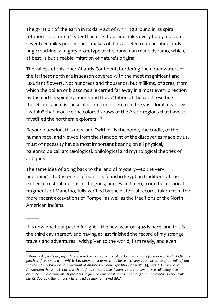The gyration of the earth in its daily act of whirling around in its spiral rotation—at a rate greater than one thousand miles every hour, or about seventeen miles per second—makes of it a vast electro-generating body, a huge machine, a mighty prototype of the puny-man-made dynamo, which, at best, is but a feeble imitation of nature's original.

The valleys of this inner Atlantis Continent, bordering the upper waters of the farthest north are in season covered with the most magnificent and luxuriant flowers. Not hundreds and thousands, but millions, of acres, from which the pollen or blossoms are carried far away in almost every direction by the earth's spiral gyrations and the agitation of the wind resulting therefrom, and it is these blossoms or pollen from the vast floral meadows "within" that produce the colored snows of the Arctic regions that have so mystified the northern explorers.  $25$ 

Beyond question, this new land "within" is the home, the cradle, of the human race, and viewed from the standpoint of the discoveries made by us, must of necessity have a most important bearing on all physical, paleontological, archæological, philological and mythological theories of antiquity.

The same idea of going back to the land of mystery—to the very beginning—to the origin of man—is found in Egyptian traditions of the earlier terrestrial regions of the gods, heroes and men, from the historical fragments of Manetho, fully verified by the historical records taken from the more recent excavations of Pompeii as well as the traditions of the North American Indians.

It is now one hour past midnight—the new year of 1908 is here, and this is the third day thereof, and having at last finished the record of my strange travels and adventures I wish given to the world, I am ready, and even

 $\overline{\phantom{a}}$ 

<span id="page-51-0"></span><sup>25</sup> *Kane, vol. I, page* 44, *says: "We passed the 'crimson cliffs' of Sir John Ross in the forenoon of August* 5*th. The patches of red snow from which they derive their name could be seen clearly at the distance of ten miles from the coast." La Chambre, in an account of Andree's balloon expedition, on page* 144, *says: "On the isle of Amsterdam the snow is tinted with red for a considerable distance, and the savants are collecting it to examine it microscopically. It presents, in fact, certain peculiarities; it is thought that it contains very small plants. Scoreby, the famous whaler, had already remarked this."*